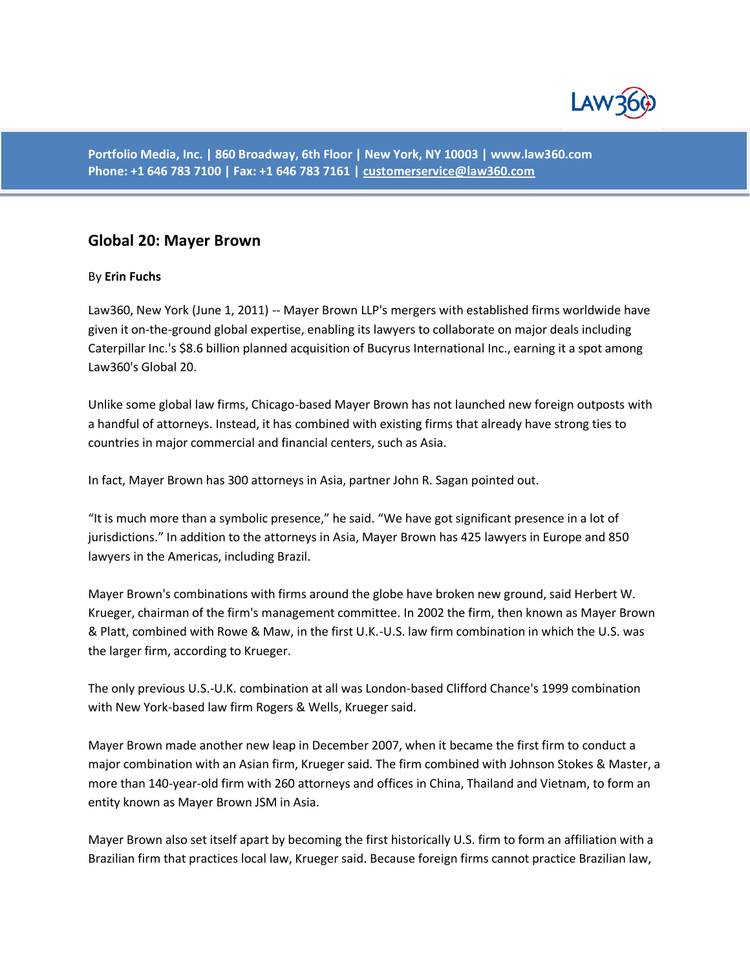

**Portfolio Media, Inc. | 860 Broadway, 6th Floor | New York, NY 10003 | www.law360.com Phone: +1 646 783 7100 | Fax: +1 646 783 7161 | [customerservice@law360.com](mailto:customerservice@law360.com)**

## **Global 20: Mayer Brown**

## By **Erin Fuchs**

Law360, New York (June 1, 2011) -- Mayer Brown LLP's mergers with established firms worldwide have given it on-the-ground global expertise, enabling its lawyers to collaborate on major deals including Caterpillar Inc.'s \$8.6 billion planned acquisition of Bucyrus International Inc., earning it a spot among Law360's Global 20.

Unlike some global law firms, Chicago-based Mayer Brown has not launched new foreign outposts with a handful of attorneys. Instead, it has combined with existing firms that already have strong ties to countries in major commercial and financial centers, such as Asia.

In fact, Mayer Brown has 300 attorneys in Asia, partner John R. Sagan pointed out.

"It is much more than a symbolic presence," he said. "We have got significant presence in a lot of jurisdictions." In addition to the attorneys in Asia, Mayer Brown has 425 lawyers in Europe and 850 lawyers in the Americas, including Brazil.

Mayer Brown's combinations with firms around the globe have broken new ground, said Herbert W. Krueger, chairman of the firm's management committee. In 2002 the firm, then known as Mayer Brown & Platt, combined with Rowe & Maw, in the first U.K.-U.S. law firm combination in which the U.S. was the larger firm, according to Krueger.

The only previous U.S.-U.K. combination at all was London-based Clifford Chance's 1999 combination with New York-based law firm Rogers & Wells, Krueger said.

Mayer Brown made another new leap in December 2007, when it became the first firm to conduct a major combination with an Asian firm, Krueger said. The firm combined with Johnson Stokes & Master, a more than 140-year-old firm with 260 attorneys and offices in China, Thailand and Vietnam, to form an entity known as Mayer Brown JSM in Asia.

Mayer Brown also set itself apart by becoming the first historically U.S. firm to form an affiliation with a Brazilian firm that practices local law, Krueger said. Because foreign firms cannot practice Brazilian law,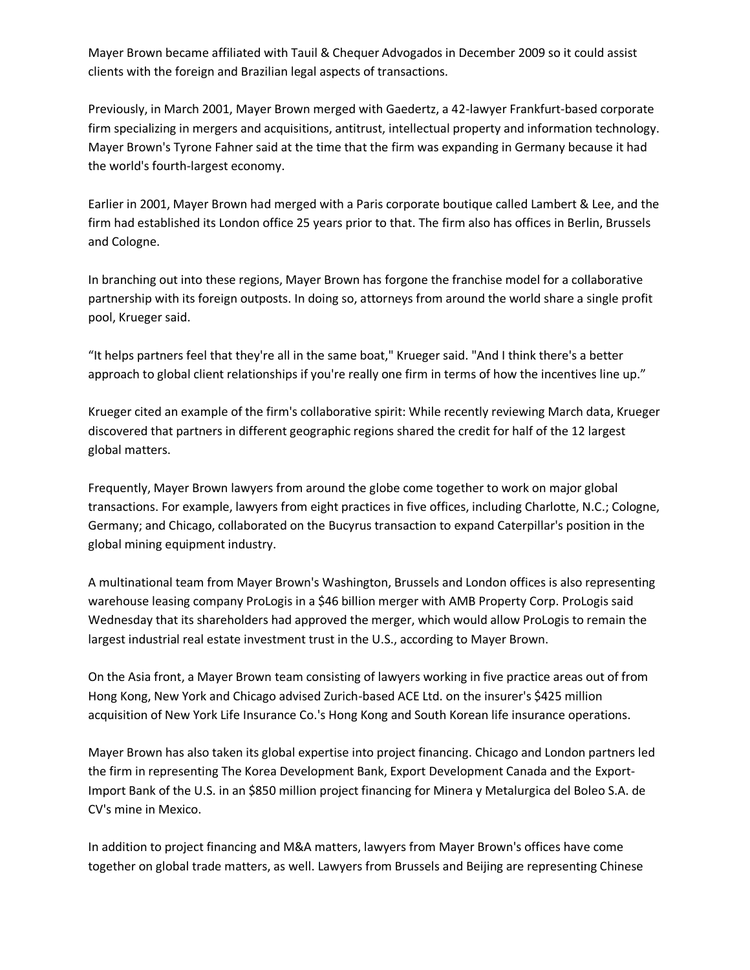Mayer Brown became affiliated with Tauil & Chequer Advogados in December 2009 so it could assist clients with the foreign and Brazilian legal aspects of transactions.

Previously, in March 2001, Mayer Brown merged with Gaedertz, a 42-lawyer Frankfurt-based corporate firm specializing in mergers and acquisitions, antitrust, intellectual property and information technology. Mayer Brown's Tyrone Fahner said at the time that the firm was expanding in Germany because it had the world's fourth-largest economy.

Earlier in 2001, Mayer Brown had merged with a Paris corporate boutique called Lambert & Lee, and the firm had established its London office 25 years prior to that. The firm also has offices in Berlin, Brussels and Cologne.

In branching out into these regions, Mayer Brown has forgone the franchise model for a collaborative partnership with its foreign outposts. In doing so, attorneys from around the world share a single profit pool, Krueger said.

"It helps partners feel that they're all in the same boat," Krueger said. "And I think there's a better approach to global client relationships if you're really one firm in terms of how the incentives line up."

Krueger cited an example of the firm's collaborative spirit: While recently reviewing March data, Krueger discovered that partners in different geographic regions shared the credit for half of the 12 largest global matters.

Frequently, Mayer Brown lawyers from around the globe come together to work on major global transactions. For example, lawyers from eight practices in five offices, including Charlotte, N.C.; Cologne, Germany; and Chicago, collaborated on the Bucyrus transaction to expand Caterpillar's position in the global mining equipment industry.

A multinational team from Mayer Brown's Washington, Brussels and London offices is also representing warehouse leasing company ProLogis in a \$46 billion merger with AMB Property Corp. ProLogis said Wednesday that its shareholders had approved the merger, which would allow ProLogis to remain the largest industrial real estate investment trust in the U.S., according to Mayer Brown.

On the Asia front, a Mayer Brown team consisting of lawyers working in five practice areas out of from Hong Kong, New York and Chicago advised Zurich-based ACE Ltd. on the insurer's \$425 million acquisition of New York Life Insurance Co.'s Hong Kong and South Korean life insurance operations.

Mayer Brown has also taken its global expertise into project financing. Chicago and London partners led the firm in representing The Korea Development Bank, Export Development Canada and the Export-Import Bank of the U.S. in an \$850 million project financing for Minera y Metalurgica del Boleo S.A. de CV's mine in Mexico.

In addition to project financing and M&A matters, lawyers from Mayer Brown's offices have come together on global trade matters, as well. Lawyers from Brussels and Beijing are representing Chinese